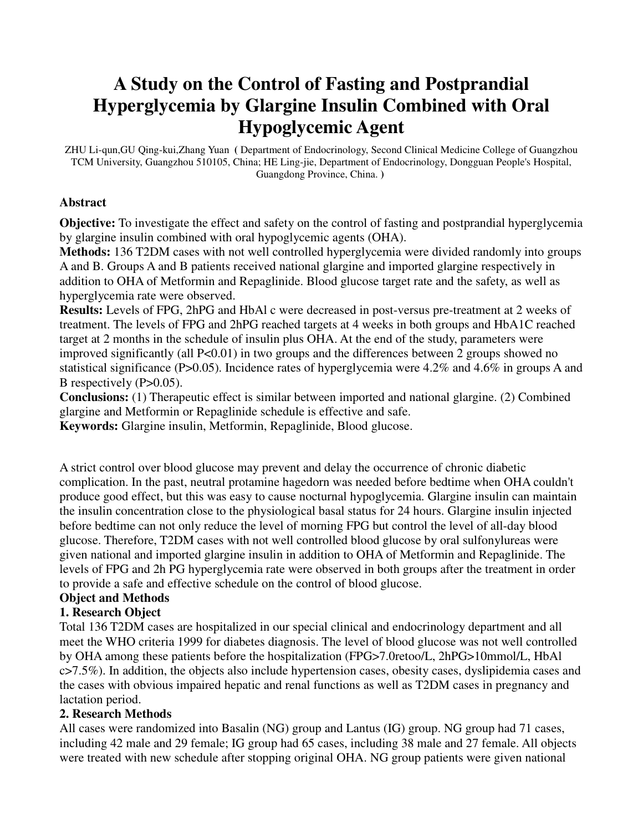# **A Study on the Control of Fasting and Postprandial Hyperglycemia by Glargine Insulin Combined with Oral Hypoglycemic Agent**

ZHU Li-qun,GU Qing-kui,Zhang Yuan **(** Department of Endocrinology, Second Clinical Medicine College of Guangzhou TCM University, Guangzhou 510105, China; HE Ling-jie, Department of Endocrinology, Dongguan People's Hospital, Guangdong Province, China. **)** 

#### **Abstract**

**Objective:** To investigate the effect and safety on the control of fasting and postprandial hyperglycemia by glargine insulin combined with oral hypoglycemic agents (OHA).

**Methods:** 136 T2DM cases with not well controlled hyperglycemia were divided randomly into groups A and B. Groups A and B patients received national glargine and imported glargine respectively in addition to OHA of Metformin and Repaglinide. Blood glucose target rate and the safety, as well as hyperglycemia rate were observed.

**Results:** Levels of FPG, 2hPG and HbAl c were decreased in post-versus pre-treatment at 2 weeks of treatment. The levels of FPG and 2hPG reached targets at 4 weeks in both groups and HbA1C reached target at 2 months in the schedule of insulin plus OHA. At the end of the study, parameters were improved significantly (all  $P<0.01$ ) in two groups and the differences between 2 groups showed no statistical significance (P>0.05). Incidence rates of hyperglycemia were 4.2% and 4.6% in groups A and B respectively (P>0.05).

**Conclusions:** (1) Therapeutic effect is similar between imported and national glargine. (2) Combined glargine and Metformin or Repaglinide schedule is effective and safe.

**Keywords:** Glargine insulin, Metformin, Repaglinide, Blood glucose.

A strict control over blood glucose may prevent and delay the occurrence of chronic diabetic complication. In the past, neutral protamine hagedorn was needed before bedtime when OHA couldn't produce good effect, but this was easy to cause nocturnal hypoglycemia. Glargine insulin can maintain the insulin concentration close to the physiological basal status for 24 hours. Glargine insulin injected before bedtime can not only reduce the level of morning FPG but control the level of all-day blood glucose. Therefore, T2DM cases with not well controlled blood glucose by oral sulfonylureas were given national and imported glargine insulin in addition to OHA of Metformin and Repaglinide. The levels of FPG and 2h PG hyperglycemia rate were observed in both groups after the treatment in order to provide a safe and effective schedule on the control of blood glucose.

# **Object and Methods**

#### **1. Research Object**

Total 136 T2DM cases are hospitalized in our special clinical and endocrinology department and all meet the WHO criteria 1999 for diabetes diagnosis. The level of blood glucose was not well controlled by OHA among these patients before the hospitalization (FPG>7.0retoo/L, 2hPG>10mmol/L, HbAl c>7.5%). In addition, the objects also include hypertension cases, obesity cases, dyslipidemia cases and the cases with obvious impaired hepatic and renal functions as well as T2DM cases in pregnancy and lactation period.

#### **2. Research Methods**

All cases were randomized into Basalin (NG) group and Lantus (IG) group. NG group had 71 cases, including 42 male and 29 female; IG group had 65 cases, including 38 male and 27 female. All objects were treated with new schedule after stopping original OHA. NG group patients were given national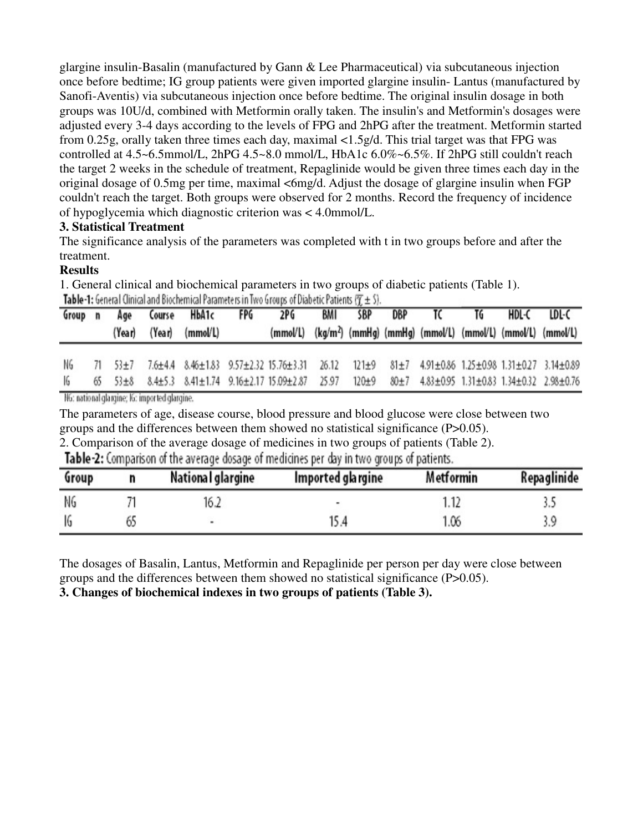glargine insulin-Basalin (manufactured by Gann & Lee Pharmaceutical) via subcutaneous injection once before bedtime; IG group patients were given imported glargine insulin- Lantus (manufactured by Sanofi-Aventis) via subcutaneous injection once before bedtime. The original insulin dosage in both groups was 10U/d, combined with Metformin orally taken. The insulin's and Metformin's dosages were adjusted every 3-4 days according to the levels of FPG and 2hPG after the treatment. Metformin started from 0.25g, orally taken three times each day, maximal <1.5g/d. This trial target was that FPG was controlled at 4.5~6.5mmol/L, 2hPG 4.5~8.0 mmol/L, HbA1c 6.0%~6.5%. If 2hPG still couldn't reach the target 2 weeks in the schedule of treatment, Repaglinide would be given three times each day in the original dosage of 0.5mg per time, maximal <6mg/d. Adjust the dosage of glargine insulin when FGP couldn't reach the target. Both groups were observed for 2 months. Record the frequency of incidence of hypoglycemia which diagnostic criterion was < 4.0mmol/L.

### **3. Statistical Treatment**

The significance analysis of the parameters was completed with t in two groups before and after the treatment.

## **Results**

1. General clinical and biochemical parameters in two groups of diabetic patients (Table 1). Table-1: General Clinical and Biochemical Parameters in Two Groups of Diabetic Patients  $(T + 5)$ .

|     |        | Group n Age Course HbA1c                                                                                | FPG | 2PG |  | BMI SBP DBP TC TG |  | HDL-C LDL-C                                                                     |
|-----|--------|---------------------------------------------------------------------------------------------------------|-----|-----|--|-------------------|--|---------------------------------------------------------------------------------|
|     | (Year) | (Year) (mmol/L)                                                                                         |     |     |  |                   |  | (mmol/L) (kg/m <sup>2</sup> ) (mmHg) (mmHg) (mmol/L) (mmol/L) (mmol/L) (mmol/L) |
| NG. |        | 71 53±7 7.6±4.4 8.46±1.83 9.57±2.32 15.76±3.31 26.12 121±9 81±7 4.91±0.86 1.25±0.98 1.31±0.27 3.14±0.89 |     |     |  |                   |  |                                                                                 |
|     |        | 65 53±8 8.4±5.3 8.41±1.74 9.16±2.17 15.09±2.87 25.97 120±9 80±7 4.83±0.95 1.31±0.83 1.34±0.32 2.98±0.76 |     |     |  |                   |  |                                                                                 |

NG: national glargine; IG: imported glargine.

The parameters of age, disease course, blood pressure and blood glucose were close between two groups and the differences between them showed no statistical significance (P>0.05).

2. Comparison of the average dosage of medicines in two groups of patients (Table 2).

Table-2: Comparison of the average dosage of medicines per day in two groups of patients.

| Group |    | National glargine | Imported glargine | Metformin | Repaglinide |
|-------|----|-------------------|-------------------|-----------|-------------|
| NG    |    | 16.2              | ۰                 |           |             |
| 16    | 65 | ٠                 | 15.4              | 1.06      |             |

The dosages of Basalin, Lantus, Metformin and Repaglinide per person per day were close between groups and the differences between them showed no statistical significance (P>0.05).

**3. Changes of biochemical indexes in two groups of patients (Table 3).**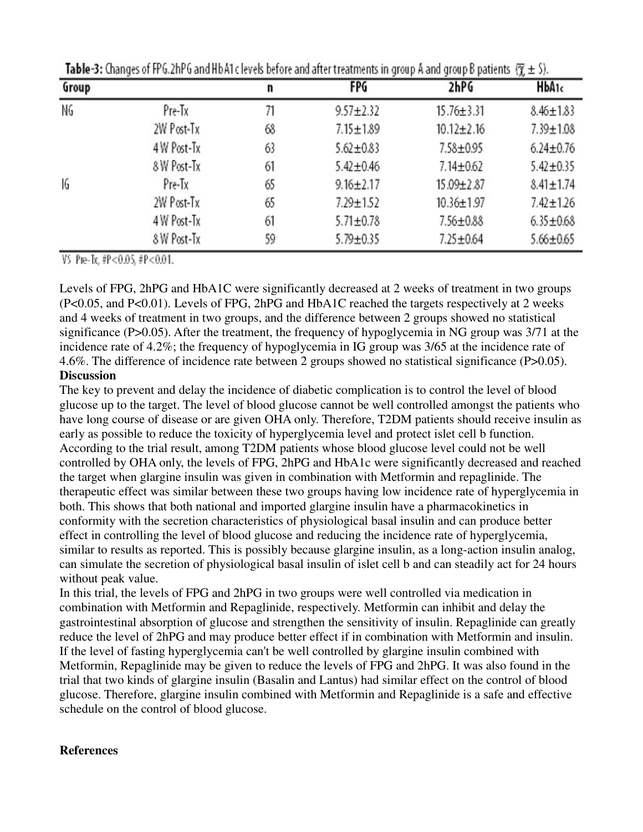| Group |             | n  | FPG             | 2hPG             | HbA <sub>1c</sub> |
|-------|-------------|----|-----------------|------------------|-------------------|
| NG.   | Pre-Tx      | 71 | $9.57 \pm 2.32$ | $15.76 \pm 3.31$ | $8.46 \pm 1.83$   |
|       | 2W Post-Tx  | 68 | $7.15 \pm 1.89$ | $10.12 \pm 2.16$ | $7.39 \pm 1.08$   |
|       | 4 W Post-Tx | 63 | $5.62 \pm 0.83$ | 7.58±0.95        | $6.24 \pm 0.76$   |
|       | 8 W Post-Tx | 61 | $5.42 \pm 0.46$ | $7.14 \pm 0.62$  | $5.42 \pm 0.35$   |
| 16    | Pre-Tx      | 65 | $9.16 \pm 2.17$ | 15.09±2.87       | $8.41 \pm 1.74$   |
|       | 2W Post-Tx  | 65 | $7.29 \pm 1.52$ | $10.36 \pm 1.97$ | $7.42 \pm 1.26$   |
|       | 4 W Post-Tx | 61 | $5.71 \pm 0.78$ | 7.56±0.88        | $6.35 \pm 0.68$   |
|       | 8 W Post-Tx | 59 | $5.79 \pm 0.35$ | $7.25 \pm 0.64$  | $5.66 \pm 0.65$   |

**Table-3:** Changes of FPG.2hPG and HbA1c levels before and after treatments in group A and group B patients  $(\overline{y} \pm 5)$ .

VS Pre-Tx, #P<0.05, #P<0.01.

Levels of FPG, 2hPG and HbA1C were significantly decreased at 2 weeks of treatment in two groups (P<0.05, and P<0.01). Levels of FPG, 2hPG and HbA1C reached the targets respectively at 2 weeks and 4 weeks of treatment in two groups, and the difference between 2 groups showed no statistical significance (P>0.05). After the treatment, the frequency of hypoglycemia in NG group was 3/71 at the incidence rate of 4.2%; the frequency of hypoglycemia in IG group was 3/65 at the incidence rate of 4.6%. The difference of incidence rate between 2 groups showed no statistical significance (P>0.05). **Discussion**

The key to prevent and delay the incidence of diabetic complication is to control the level of blood glucose up to the target. The level of blood glucose cannot be well controlled amongst the patients who have long course of disease or are given OHA only. Therefore, T2DM patients should receive insulin as early as possible to reduce the toxicity of hyperglycemia level and protect islet cell b function. According to the trial result, among T2DM patients whose blood glucose level could not be well controlled by OHA only, the levels of FPG, 2hPG and HbA1c were significantly decreased and reached the target when glargine insulin was given in combination with Metformin and repaglinide. The therapeutic effect was similar between these two groups having low incidence rate of hyperglycemia in both. This shows that both national and imported glargine insulin have a pharmacokinetics in conformity with the secretion characteristics of physiological basal insulin and can produce better effect in controlling the level of blood glucose and reducing the incidence rate of hyperglycemia, similar to results as reported. This is possibly because glargine insulin, as a long-action insulin analog, can simulate the secretion of physiological basal insulin of islet cell b and can steadily act for 24 hours without peak value.

In this trial, the levels of FPG and 2hPG in two groups were well controlled via medication in combination with Metformin and Repaglinide, respectively. Metformin can inhibit and delay the gastrointestinal absorption of glucose and strengthen the sensitivity of insulin. Repaglinide can greatly reduce the level of 2hPG and may produce better effect if in combination with Metformin and insulin. If the level of fasting hyperglycemia can't be well controlled by glargine insulin combined with Metformin, Repaglinide may be given to reduce the levels of FPG and 2hPG. It was also found in the trial that two kinds of glargine insulin (Basalin and Lantus) had similar effect on the control of blood glucose. Therefore, glargine insulin combined with Metformin and Repaglinide is a safe and effective schedule on the control of blood glucose.

#### **References**